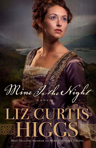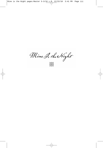Mine Is the Night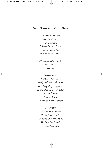## **OTHER BOOKS BY LIZ CURTIS HIGGS**

HISTORICAL FICTION *Thorn in My Heart Fair Is the Rose Whence Came a Prince Grace in Thine Eyes Here Burns My Candle*

## CONTEMPORARY FICTION *Mixed Signals Bookends*

**NONFICTION** 

*Bad Girls of the Bible Really Bad Girls of the Bible Unveiling Mary Magdalene Slightly Bad Girls of the Bible Rise and Shine Embrace Grace My Heart's in the Lowlands*

CHILDREN'S *The Parable of the Lily The Sunflower Parable The Pumpkin Patch Parable The Pine Tree Parable Go Away, Dark Night*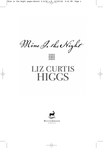Mine Is the Night



## **LIZ CURTIS HIGGS**

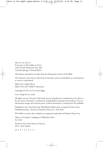MINE IS THE NIGHT PUBLISHED BY WATERBROOK PRESS 12265 Oracle Boulevard, Suite 200 Colorado Springs, Colorado 80921

All Scripture quotations are taken from the King James Version of the Bible.

The characters and events in this book are fictional, and any resemblance to actual persons or events is coincidental.

ISBN 978-1-4000-7002-2 ISBN 978-0-307-45888-9 (electronic)

Copyright © 2011 by Liz Curtis Higgs

Cover design by [to come]

All rights reserved. No part of this book may be reproduced or transmitted in any form or by any means, electronic or mechanical, including photocopying and recording, or by any information storage and retrieval system, without permission in writing from the publisher.

Published in the United States by WaterBrook Multnomah, an imprint of the Crown Publishing Group, a division of Random House Inc., New York.

WATERBROOK and its deer colophon are registered trademarks of Random House Inc.

Library of Congress Cataloging-in-Publication Data [to come]

Printed in the United States of America 2011—First Edition

10 9 8 7 6 5 4 3 2 1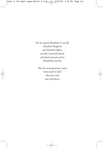*For two special Elizabeths in my life: Elizabeth Hoagland and Elizabeth Jeffries, my dear Louisville friends, with fond memories of our Elizabethan lunches.*

*May the meaning of your name, "consecrated to God," bless your souls now and forever.*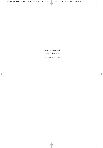Mine is the night, with all her stars. EDWARD YOUNG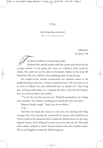## One

Foul whisperings are abroad. WILLIAM SHAKESPEARE

> *Selkirkshire* 26 April 1746

he distant hoofbeats were growing louder. Elisabeth Kerr quickly pushed aside the curtain and leaned out the carriage window. A cool spring rain, borne on a blustery wind, stung her cheeks. She could not see the riders on horseback, hidden by the steep hill behind her. But she could hear them galloping hard, closing the gap.

Her mother-in-law seemed unconcerned, her attention drawn to the puddle forming at their feet. A frown creased her brow. "Do you mean for us to arrive in Selkirk even more disheveled than we already are?" Three long days of being jostled about in a cramped and dirty coach had left Marjory Kerr in a mood as foul as the weather.

"'Tis not the rain that concerns me." Elisabeth resumed her seat, feeling a bit unsteady. "No ordinary traveling party would ride with such haste."

Marjory's breath caught. "Surely you do not think—"

"I do."

Had they not heard the rumors at every inn and coaching halt? King George's men were scouring the countryside for anyone who'd aided bonny Prince Charlie in his disastrous bid to reclaim the British throne for the longdeposed Stuarts. Each whispered account was worse than the last. Wounded rebel soldiers clubbed to death. Houses burned with entire families inside. Wives and daughters ravished by British dragoons.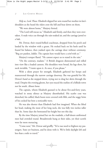*Help us, Lord. Please.* Elisabeth slipped her arm round her mother-in-law's shoulders as she heard the riders crest the hill and bear down on them.

"We were almost home," Marjory fretted.

"The Lord will rescue us," Elisabeth said firmly, and then they were overtaken. A male voice cut through the rain-soaked air, and the carriage jarred to a halt.

Mr. Dewar, their round-bellied coachman, dropped from his perch and landed by the window with a grunt. He rocked back on his heels until he found his balance, then yanked open the carriage door without ceremony. "Beg yer pardon, *leddies.* The captain here would have a *wird* with ye."

Marjory's temper flared. "He cannot expect us to stand in the rain."

"On the contrary, madam." A British dragoon dismounted and rolled into view like a loaded cannon. His shoulders were broad, his legs short, his neck invisible. "I insist upon it. At once, if you please."

With a silent prayer for strength, Elisabeth gathered her hoops and maneuvered through the narrow carriage doorway. She was grateful for Mr. Dewar's hand as she stepped down, trying not to drag her skirts through the mud. Despite the evening gloom, her eyes traced the outline of a hillside town not far south. *Almost home.*

The captain, whom Elisabeth guessed to be about five-and-forty years, watched in stony silence as Marjory disembarked. His scarlet coat was drenched, his cuffed, black boots were covered with filth, and the soggy brim of his cocked hat bore a noticeable wave.

He was also shorter than Elisabeth had first imagined. When she lifted her head, making the most of her long neck, she was fully two inches taller than he. Some days she bemoaned her height but not this day.

By the time Marjory joined her on the roadside, a half-dozen uniformed men had crowded round. Broadswords hung at their sides, yet their scowls were far more menacing.

"Come now," Mr. Dewar said gruffly. "Ye've nae need to frighten my passengers. State yer business, and be done with it. We've little daylight left and less than a mile to travel."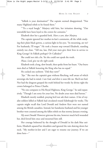"Selkirk is your destination?" The captain seemed disappointed. "Not many Highland rebels to be found there."

"'Tis a royal burgh," Marjory told him, her irritation showing. "Our townsfolk have been loyal to the crown for centuries."

Elisabeth shot her a guarded look. *Have a care, dear Marjory.*

The captain ignored her mother-in-law's comments, all the while studying their plain black gowns, a curious light in his eyes. "In mourning, are we? For husbands, I'll wager." He took a brazen step toward Elisabeth, standing entirely too close. "Tell me, lass. Did your men give their lives in service to King George? At Falkirk perhaps? Or Culloden?"

She could not risk a lie. Yet she could not speak the truth.

*Please, Lord, give me the right words.*

Elisabeth took a long, slow breath, then spoke from her heart. "Our brave men died at Falkirk honoring the King who has no equal."

He cocked one eyebrow. "Did they now?"

*"Aye."* She met the captain's gaze without flinching, well aware of which sovereign she had in mind. *I am God, and there is none like me.* She'd not lied. Nor had the dragoon grasped the truth behind her words: by divine right the crown belonged to Prince Charlie.

"No one compares to His Royal Highness, King George," he said expansively. "Though I am sorry for your loss. No doubt your men died heroes."

Elisabeth merely nodded, praying he'd not ask their names. A list of royalist soldiers killed at Falkirk had circulated round Edinburgh for weeks. The captain might recall that Lord Donald and Andrew Kerr were not named among the British casualties. Instead, her handsome husband and his younger brother were counted among the fallen rebels on that stormy January evening.

*My sweet Donald.* However grievous his sins, however much he'd wounded her, she'd loved him once and mourned him still.

Her courage bolstered by the thought of Donald in his dark blue uniform, Elisabeth squared her shoulders and ignored the rain sluicing down her neck. "My mother-in-law and I are eager to resume our journey. If we are done here—"